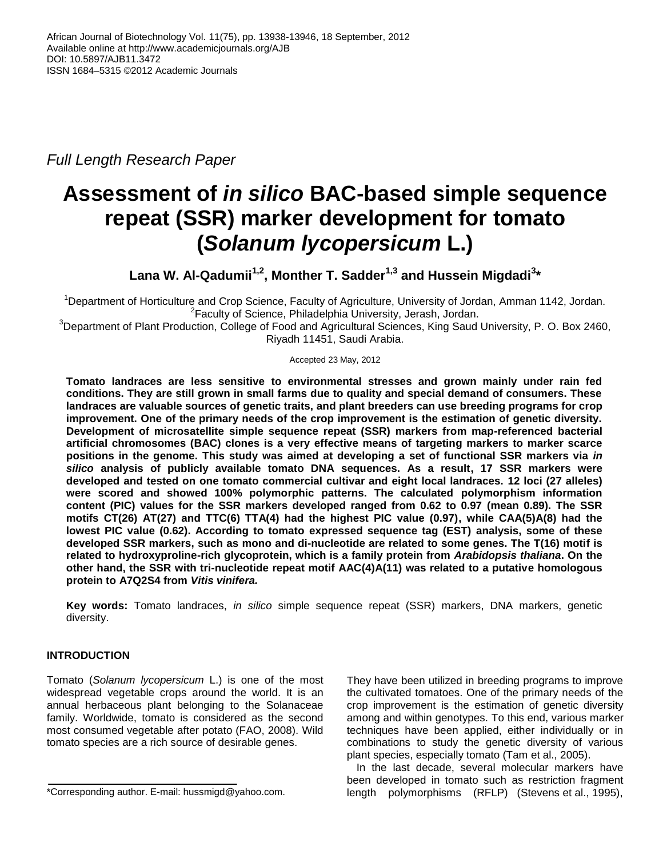*Full Length Research Paper*

# **Assessment of** *in silico* **BAC-based simple sequence repeat (SSR) marker development for tomato (***Solanum lycopersicum* **L.)**

**Lana W. Al-Qadumii1,2, Monther T. Sadder1,3 and Hussein Migdadi<sup>3</sup> \***

<sup>1</sup>Department of Horticulture and Crop Science, Faculty of Agriculture, University of Jordan, Amman 1142, Jordan. <sup>2</sup> Faculty of Science, Philadelphia University, Jerash, Jordan.

 $3$ Department of Plant Production, College of Food and Agricultural Sciences, King Saud University, P. O. Box 2460, Riyadh 11451, Saudi Arabia.

## Accepted 23 May, 2012

**Tomato landraces are less sensitive to environmental stresses and grown mainly under rain fed conditions. They are still grown in small farms due to quality and special demand of consumers. These landraces are valuable sources of genetic traits, and plant breeders can use breeding programs for crop improvement. One of the primary needs of the crop improvement is the estimation of genetic diversity. Development of microsatellite simple sequence repeat (SSR) markers from map-referenced bacterial artificial chromosomes (BAC) clones is a very effective means of targeting markers to marker scarce positions in the genome. This study was aimed at developing a set of functional SSR markers via** *in silico* **analysis of publicly available tomato DNA sequences. As a result, 17 SSR markers were developed and tested on one tomato commercial cultivar and eight local landraces. 12 loci (27 alleles) were scored and showed 100% polymorphic patterns. The calculated polymorphism information content (PIC) values for the SSR markers developed ranged from 0.62 to 0.97 (mean 0.89). The SSR motifs CT(26) AT(27) and TTC(6) TTA(4) had the highest PIC value (0.97), while CAA(5)A(8) had the lowest PIC value (0.62). According to tomato expressed sequence tag (EST) analysis, some of these developed SSR markers, such as mono and di-nucleotide are related to some genes. The T(16) motif is related to hydroxyproline-rich glycoprotein, which is a family protein from** *Arabidopsis thaliana***. On the other hand, the SSR with tri-nucleotide repeat motif AAC(4)A(11) was related to a putative homologous protein to A7Q2S4 from** *Vitis vinifera.*

**Key words:** Tomato landraces, *in silico* simple sequence repeat (SSR) markers, DNA markers, genetic diversity.

# **INTRODUCTION**

Tomato (*Solanum lycopersicum* L.) is one of the most widespread vegetable crops around the world. It is an annual herbaceous plant belonging to the Solanaceae family. Worldwide, tomato is considered as the second most consumed vegetable after potato (FAO, 2008). Wild tomato species are a rich source of desirable genes.

They have been utilized in breeding programs to improve the cultivated tomatoes. One of the primary needs of the crop improvement is the estimation of genetic diversity among and within genotypes. To this end, various marker techniques have been applied, either individually or in combinations to study the genetic diversity of various plant species, especially tomato (Tam et al., 2005).

In the last decade, several molecular markers have been developed in tomato such as restriction fragment length polymorphisms (RFLP) (Stevens et al., 1995),

<sup>\*</sup>Corresponding author. E-mail: hussmigd@yahoo.com.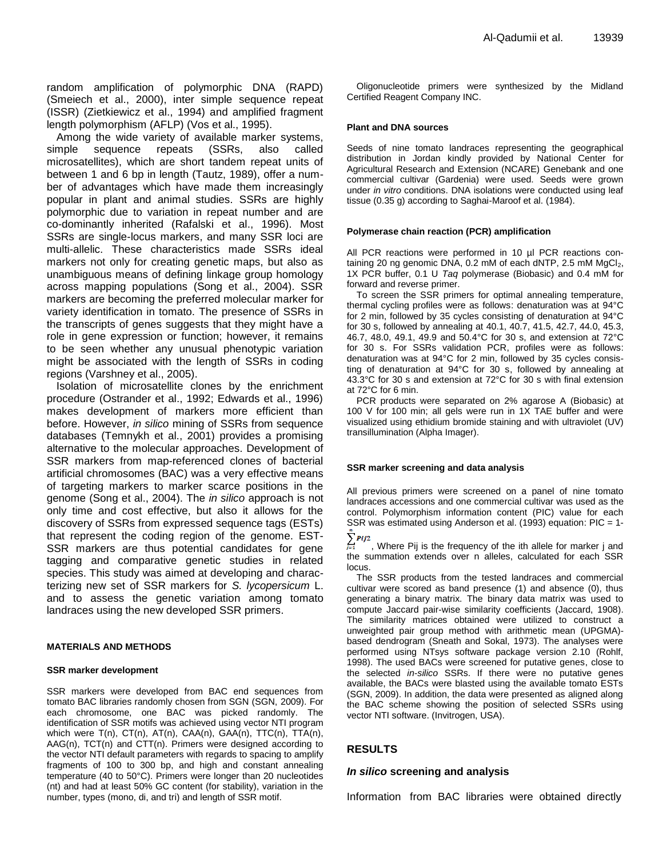random amplification of polymorphic DNA (RAPD) (Smeiech et al., 2000), inter simple sequence repeat (ISSR) (Zietkiewicz et al., 1994) and amplified fragment length polymorphism (AFLP) (Vos et al., 1995).

Among the wide variety of available marker systems, simple sequence repeats (SSRs, also called microsatellites), which are short tandem repeat units of between 1 and 6 bp in length (Tautz, 1989), offer a number of advantages which have made them increasingly popular in plant and animal studies. SSRs are highly polymorphic due to variation in repeat number and are co-dominantly inherited (Rafalski et al., 1996). Most SSRs are single-locus markers, and many SSR loci are multi-allelic. These characteristics made SSRs ideal markers not only for creating genetic maps, but also as unambiguous means of defining linkage group homology across mapping populations (Song et al., 2004). SSR markers are becoming the preferred molecular marker for variety identification in tomato. The presence of SSRs in the transcripts of genes suggests that they might have a role in gene expression or function; however, it remains to be seen whether any unusual phenotypic variation might be associated with the length of SSRs in coding regions (Varshney et al., 2005).

Isolation of microsatellite clones by the enrichment procedure (Ostrander et al., 1992; Edwards et al., 1996) makes development of markers more efficient than before. However, *in silico* mining of SSRs from sequence databases (Temnykh et al., 2001) provides a promising alternative to the molecular approaches. Development of SSR markers from map-referenced clones of bacterial artificial chromosomes (BAC) was a very effective means of targeting markers to marker scarce positions in the genome (Song et al., 2004). The *in silico* approach is not only time and cost effective, but also it allows for the discovery of SSRs from expressed sequence tags (ESTs) that represent the coding region of the genome. EST-SSR markers are thus potential candidates for gene tagging and comparative genetic studies in related species. This study was aimed at developing and characterizing new set of SSR markers for *S. lycopersicum* L. and to assess the genetic variation among tomato landraces using the new developed SSR primers.

### **MATERIALS AND METHODS**

### **SSR marker development**

SSR markers were developed from BAC end sequences from tomato BAC libraries randomly chosen from SGN (SGN, 2009). For each chromosome, one BAC was picked randomly. The identification of SSR motifs was achieved using vector NTI program which were T(n), CT(n), AT(n), CAA(n), GAA(n), TTC(n), TTA(n), AAG(n), TCT(n) and CTT(n). Primers were designed according to the vector NTI default parameters with regards to spacing to amplify fragments of 100 to 300 bp, and high and constant annealing temperature (40 to 50°C). Primers were longer than 20 nucleotides (nt) and had at least 50% GC content (for stability), variation in the number, types (mono, di, and tri) and length of SSR motif.

Oligonucleotide primers were synthesized by the Midland Certified Reagent Company INC.

#### **Plant and DNA sources**

Seeds of nine tomato landraces representing the geographical distribution in Jordan kindly provided by National Center for Agricultural Research and Extension (NCARE) Genebank and one commercial cultivar (Gardenia) were used. Seeds were grown under *in vitro* conditions. DNA isolations were conducted using leaf tissue (0.35 g) according to Saghai-Maroof et al. (1984).

#### **Polymerase chain reaction (PCR) amplification**

All PCR reactions were performed in 10 µl PCR reactions containing 20 ng genomic DNA, 0.2 mM of each dNTP, 2.5 mM MgCl<sub>2</sub>, 1X PCR buffer, 0.1 U *Taq* polymerase (Biobasic) and 0.4 mM for forward and reverse primer.

To screen the SSR primers for optimal annealing temperature, thermal cycling profiles were as follows: denaturation was at 94°C for 2 min, followed by 35 cycles consisting of denaturation at 94°C for 30 s, followed by annealing at 40.1, 40.7, 41.5, 42.7, 44.0, 45.3, 46.7, 48.0, 49.1, 49.9 and 50.4°C for 30 s, and extension at 72°C for 30 s. For SSRs validation PCR, profiles were as follows: denaturation was at 94°C for 2 min, followed by 35 cycles consisting of denaturation at 94°C for 30 s, followed by annealing at 43.3°C for 30 s and extension at 72°C for 30 s with final extension at 72°C for 6 min.

PCR products were separated on 2% agarose A (Biobasic) at 100 V for 100 min; all gels were run in 1X TAE buffer and were visualized using ethidium bromide staining and with ultraviolet (UV) transillumination (Alpha Imager).

### **SSR marker screening and data analysis**

All previous primers were screened on a panel of nine tomato landraces accessions and one commercial cultivar was used as the control. Polymorphism information content (PIC) value for each SSR was estimated using Anderson et al. (1993) equation: PIC = 1-  $\sum_{j=1}^{n} p_{ij2}$ , Where Pij is the frequency of the ith allele for marker j and

the summation extends over n alleles, calculated for each SSR locus.

The SSR products from the tested landraces and commercial cultivar were scored as band presence (1) and absence (0), thus generating a binary matrix. The binary data matrix was used to compute Jaccard pair-wise similarity coefficients (Jaccard, 1908). The similarity matrices obtained were utilized to construct a unweighted pair group method with arithmetic mean (UPGMA) based dendrogram (Sneath and Sokal, 1973). The analyses were performed using NTsys software package version 2.10 (Rohlf, 1998). The used BACs were screened for putative genes, close to the selected *in-silico* SSRs. If there were no putative genes available, the BACs were blasted using the available tomato ESTs (SGN, 2009). In addition, the data were presented as aligned along the BAC scheme showing the position of selected SSRs using vector NTI software. (Invitrogen, USA).

## **RESULTS**

## *In silico* **screening and analysis**

Information from BAC libraries were obtained directly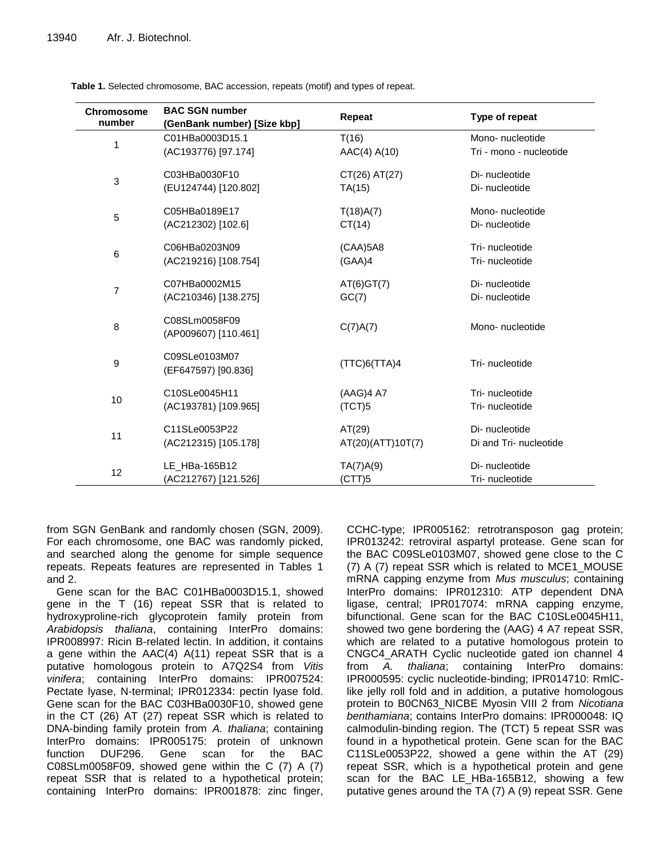| <b>Chromosome</b><br>number | <b>BAC SGN number</b><br>(GenBank number) [Size kbp] | Repeat            | Type of repeat          |
|-----------------------------|------------------------------------------------------|-------------------|-------------------------|
|                             | C01HBa0003D15.1                                      | T(16)             | Mono-nucleotide         |
| 1                           | (AC193776) [97.174]                                  | AAC(4) A(10)      | Tri - mono - nucleotide |
| $\mathbf{3}$                | C03HBa0030F10                                        | CT(26) AT(27)     | Di- nucleotide          |
|                             | (EU124744) [120.802]                                 | TA(15)            | Di- nucleotide          |
| 5                           | C05HBa0189E17                                        | T(18)A(7)         | Mono-nucleotide         |
|                             | (AC212302) [102.6]                                   | CT(14)            | Di- nucleotide          |
|                             | C06HBa0203N09                                        | (CAA)5A8          | Tri- nucleotide         |
| 6                           | (AC219216) [108.754]                                 | (GAA)4            | Tri- nucleotide         |
| 7                           | C07HBa0002M15                                        | AT(6)GT(7)        | Di- nucleotide          |
|                             | (AC210346) [138.275]                                 | GC(7)             | Di- nucleotide          |
| 8                           | C08SLm0058F09                                        | C(7)A(7)          | Mono-nucleotide         |
|                             | (AP009607) [110.461]                                 |                   |                         |
| 9                           | C09SLe0103M07                                        | (TTC)6(TTA)4      | Tri- nucleotide         |
|                             | (EF647597) [90.836]                                  |                   |                         |
| 10                          | C10SLe0045H11                                        | (AAG)4 A7         | Tri- nucleotide         |
|                             | (AC193781) [109.965]                                 | (TCT)5            | Tri- nucleotide         |
| 11                          | C11SLe0053P22                                        | AT(29)            | Di- nucleotide          |
|                             | (AC212315) [105.178]                                 | AT(20)(ATT)10T(7) | Di and Tri- nucleotide  |
| 12                          | LE HBa-165B12                                        | TA(7)A(9)         | Di- nucleotide          |
|                             | (AC212767) [121.526]                                 | (CTT)5            | Tri- nucleotide         |

**Table 1.** Selected chromosome, BAC accession, repeats (motif) and types of repeat.

from SGN GenBank and randomly chosen (SGN, 2009). For each chromosome, one BAC was randomly picked, and searched along the genome for simple sequence repeats. Repeats features are represented in Tables 1 and 2.

Gene scan for the BAC C01HBa0003D15.1, showed gene in the T (16) repeat SSR that is related to hydroxyproline-rich glycoprotein family protein from *Arabidopsis thaliana*, containing InterPro domains: IPR008997: Ricin B-related lectin. In addition, it contains a gene within the AAC(4) A(11) repeat SSR that is a putative homologous protein to A7Q2S4 from *Vitis vinifera*; containing InterPro domains: IPR007524: Pectate lyase, N-terminal; IPR012334: pectin lyase fold. Gene scan for the BAC C03HBa0030F10, showed gene in the CT (26) AT (27) repeat SSR which is related to DNA-binding family protein from *A. thaliana*; containing InterPro domains: IPR005175: protein of unknown function DUF296. Gene scan for the BAC C08SLm0058F09, showed gene within the C (7) A (7) repeat SSR that is related to a hypothetical protein; containing InterPro domains: IPR001878: zinc finger,

CCHC-type; IPR005162: retrotransposon gag protein; IPR013242: retroviral aspartyl protease. Gene scan for the BAC C09SLe0103M07, showed gene close to the C (7) A (7) repeat SSR which is related to MCE1\_MOUSE mRNA capping enzyme from *Mus musculus*; containing InterPro domains: IPR012310: ATP dependent DNA ligase, central; IPR017074: mRNA capping enzyme, bifunctional. Gene scan for the BAC C10SLe0045H11, showed two gene bordering the (AAG) 4 A7 repeat SSR, which are related to a putative homologous protein to CNGC4\_ARATH Cyclic nucleotide gated ion channel 4 from *A. thaliana*; containing InterPro domains: IPR000595: cyclic nucleotide-binding; IPR014710: RmlClike jelly roll fold and in addition, a putative homologous protein to B0CN63\_NICBE Myosin VIII 2 from *Nicotiana benthamiana*; contains InterPro domains: IPR000048: IQ calmodulin-binding region. The (TCT) 5 repeat SSR was found in a hypothetical protein. Gene scan for the BAC C11SLe0053P22, showed a gene within the AT (29) repeat SSR, which is a hypothetical protein and gene scan for the BAC LE\_HBa-165B12, showing a few putative genes around the TA (7) A (9) repeat SSR. Gene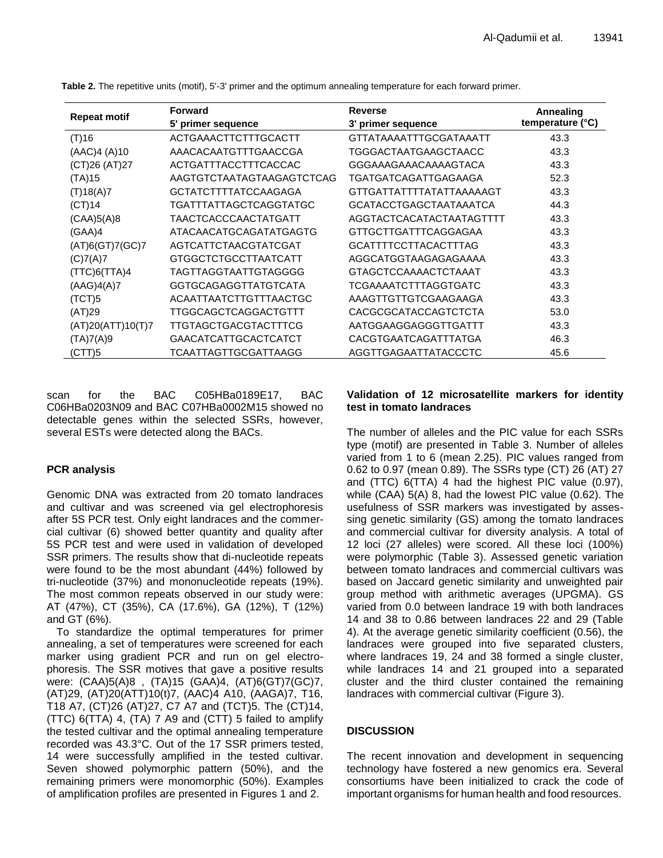| <b>Repeat motif</b> | <b>Forward</b>              | <b>Reverse</b>                | Annealing        |
|---------------------|-----------------------------|-------------------------------|------------------|
|                     | 5' primer sequence          | 3' primer sequence            | temperature (°C) |
| (T)16               | ACTGAAACTTCTTTGCACTT        | GTTATAAAATTTGCGATAAATT        | 43.3             |
| (AAC)4 (A)10        | AAACACAATGTTTGAACCGA        | TGGGACTAATGAAGCTAACC          | 43.3             |
| (CT)26 (AT)27       | ACTGATTTACCTTTCACCAC        | GGGAAAGAAACAAAAGTACA          | 43.3             |
| (TA)15              | AAGTGTCTAATAGTAAGAGTCTCAG   | TGATGATCAGATTGAGAAGA          | 52.3             |
| (T)18(A)7           | <b>GCTATCTTTTATCCAAGAGA</b> | GTTGATTATTTTATATTAAAAAGT      | 43.3             |
| (CT)14              | TGATTTATTAGCTCAGGTATGC      | <b>GCATACCTGAGCTAATAAATCA</b> | 44.3             |
| (CAA)5(A)8          | TAACTCACCCAACTATGATT        | AGGTACTCACATACTAATAGTTTT      | 43.3             |
| (GAA)4              | ATACAACATGCAGATATGAGTG      | GTTGCTTGATTTCAGGAGAA          | 43.3             |
| (AT)6(GT)7(GC)7     | AGTCATTCTAACGTATCGAT        | <b>GCATTTTCCTTACACTTTAG</b>   | 43.3             |
| (C)7(A)7            | GTGGCTCTGCCTTAATCATT        | AGGCATGGTAAGAGAGAAAA          | 43.3             |
| (TTC)6(TTA)4        | TAGTTAGGTAATTGTAGGGG        | GTAGCTCCAAAACTCTAAAT          | 43.3             |
| (AAG)4(A)7          | <b>GGTGCAGAGGTTATGTCATA</b> | TCGAAAATCTTTAGGTGATC          | 43.3             |
| (TCT)5              | ACAATTAATCTTGTTTAACTGC      | AAAGTTGTTGTCGAAGAAGA          | 43.3             |
| (AT)29              | TTGGCAGCTCAGGACTGTTT        | <b>CACGCGCATACCAGTCTCTA</b>   | 53.0             |
| (AT)20(ATT)10(T)7   | TTGTAGCTGACGTACTTTCG        | AATGGAAGGAGGGTTGATTT          | 43.3             |
| (TA)7(A)9           | GAACATCATTGCACTCATCT        | <b>CACGTGAATCAGATTTATGA</b>   | 46.3             |
| (CTT)5              | TCAATTAGTTGCGATTAAGG        | AGGTTGAGAATTATACCCTC          | 45.6             |

**Table 2.** The repetitive units (motif), 5'-3' primer and the optimum annealing temperature for each forward primer.

scan for the BAC C05HBa0189E17, BAC C06HBa0203N09 and BAC C07HBa0002M15 showed no detectable genes within the selected SSRs, however, several ESTs were detected along the BACs.

# **PCR analysis**

Genomic DNA was extracted from 20 tomato landraces and cultivar and was screened via gel electrophoresis after 5S PCR test. Only eight landraces and the commercial cultivar (6) showed better quantity and quality after 5S PCR test and were used in validation of developed SSR primers. The results show that di-nucleotide repeats were found to be the most abundant (44%) followed by tri-nucleotide (37%) and mononucleotide repeats (19%). The most common repeats observed in our study were: AT (47%), CT (35%), CA (17.6%), GA (12%), T (12%) and GT (6%).

To standardize the optimal temperatures for primer annealing, a set of temperatures were screened for each marker using gradient PCR and run on gel electrophoresis. The SSR motives that gave a positive results were: (CAA)5(A)8 , (TA)15 (GAA)4, (AT)6(GT)7(GC)7, (AT)29, (AT)20(ATT)10(t)7, (AAC)4 A10, (AAGA)7, T16, T18 A7, (CT)26 (AT)27, C7 A7 and (TCT)5. The (CT)14, (TTC) 6(TTA) 4, (TA) 7 A9 and (CTT) 5 failed to amplify the tested cultivar and the optimal annealing temperature recorded was 43.3°C. Out of the 17 SSR primers tested, 14 were successfully amplified in the tested cultivar. Seven showed polymorphic pattern (50%), and the remaining primers were monomorphic (50%). Examples of amplification profiles are presented in Figures 1 and 2.

## **Validation of 12 microsatellite markers for identity test in tomato landraces**

The number of alleles and the PIC value for each SSRs type (motif) are presented in Table 3. Number of alleles varied from 1 to 6 (mean 2.25). PIC values ranged from 0.62 to 0.97 (mean 0.89). The SSRs type (CT) 26 (AT) 27 and (TTC) 6(TTA) 4 had the highest PIC value (0.97), while (CAA) 5(A) 8, had the lowest PIC value (0.62). The usefulness of SSR markers was investigated by assessing genetic similarity (GS) among the tomato landraces and commercial cultivar for diversity analysis. A total of 12 loci (27 alleles) were scored. All these loci (100%) were polymorphic (Table 3). Assessed genetic variation between tomato landraces and commercial cultivars was based on Jaccard genetic similarity and unweighted pair group method with arithmetic averages (UPGMA). GS varied from 0.0 between landrace 19 with both landraces 14 and 38 to 0.86 between landraces 22 and 29 (Table 4). At the average genetic similarity coefficient (0.56), the landraces were grouped into five separated clusters, where landraces 19, 24 and 38 formed a single cluster, while landraces 14 and 21 grouped into a separated cluster and the third cluster contained the remaining landraces with commercial cultivar (Figure 3).

# **DISCUSSION**

The recent innovation and development in sequencing technology have fostered a new genomics era. Several consortiums have been initialized to crack the code of important organisms for human health and food resources.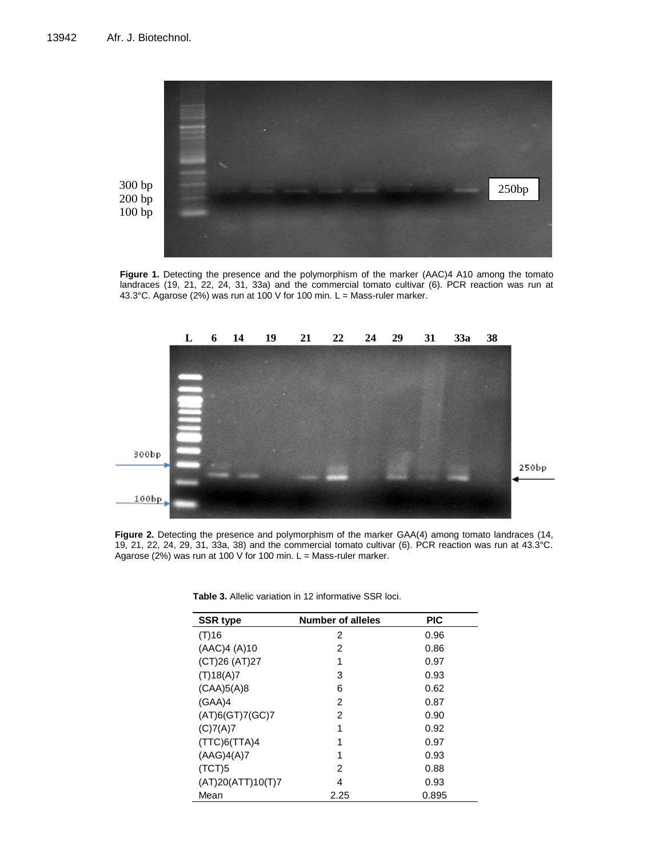

**Figure 1.** Detecting the presence and the polymorphism of the marker (AAC)4 A10 among the tomato landraces (19, 21, 22, 24, 31, 33a) and the commercial tomato cultivar (6). PCR reaction was run at 43.3°C. Agarose (2%) was run at 100 V for 100 min. L = Mass-ruler marker.



**Figure 2.** Detecting the presence and polymorphism of the marker GAA(4) among tomato landraces (14, 19, 21, 22, 24, 29, 31, 33a, 38) and the commercial tomato cultivar (6). PCR reaction was run at 43.3°C. Agarose (2%) was run at 100 V for 100 min. L = Mass-ruler marker.

| <b>SSR type</b>   | <b>Number of alleles</b> | <b>PIC</b> |
|-------------------|--------------------------|------------|
| (T)16             | 2                        | 0.96       |
| (AAC)4 (A)10      | 2                        | 0.86       |
| (CT)26 (AT)27     | 1                        | 0.97       |
| (T)18(A)7         | 3                        | 0.93       |
| (CAA)5(A)8        | 6                        | 0.62       |
| (GAA)4            | 2                        | 0.87       |
| (AT)6(GT)7(GC)7   | 2                        | 0.90       |
| (C)7(A)7          | 1                        | 0.92       |
| (TTC)6(TTA)4      | 1                        | 0.97       |
| (AAG)4(A)7        | 1                        | 0.93       |
| (TCT)5            | 2                        | 0.88       |
| (AT)20(ATT)10(T)7 | 4                        | 0.93       |
| Mean              | 2.25                     | 0.895      |

| <b>Table 3.</b> Allelic variation in 12 informative SSR loci. |
|---------------------------------------------------------------|
|---------------------------------------------------------------|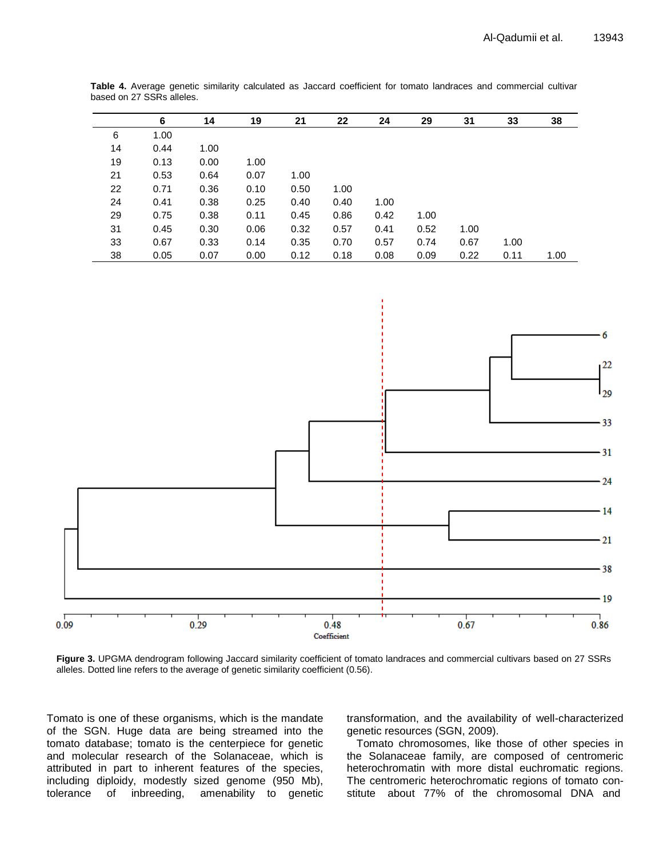|    | 6    | 14   | 19   | 21   | 22   | 24   | 29   | 31   | 33   | 38   |
|----|------|------|------|------|------|------|------|------|------|------|
| 6  | 1.00 |      |      |      |      |      |      |      |      |      |
| 14 | 0.44 | 1.00 |      |      |      |      |      |      |      |      |
| 19 | 0.13 | 0.00 | 1.00 |      |      |      |      |      |      |      |
| 21 | 0.53 | 0.64 | 0.07 | 1.00 |      |      |      |      |      |      |
| 22 | 0.71 | 0.36 | 0.10 | 0.50 | 1.00 |      |      |      |      |      |
| 24 | 0.41 | 0.38 | 0.25 | 0.40 | 0.40 | 1.00 |      |      |      |      |
| 29 | 0.75 | 0.38 | 0.11 | 0.45 | 0.86 | 0.42 | 1.00 |      |      |      |
| 31 | 0.45 | 0.30 | 0.06 | 0.32 | 0.57 | 0.41 | 0.52 | 1.00 |      |      |
| 33 | 0.67 | 0.33 | 0.14 | 0.35 | 0.70 | 0.57 | 0.74 | 0.67 | 1.00 |      |
| 38 | 0.05 | 0.07 | 0.00 | 0.12 | 0.18 | 0.08 | 0.09 | 0.22 | 0.11 | 1.00 |

**Table 4.** Average genetic similarity calculated as Jaccard coefficient for tomato landraces and commercial cultivar based on 27 SSRs alleles.



**Figure 3.** UPGMA dendrogram following Jaccard similarity coefficient of tomato landraces and commercial cultivars based on 27 SSRs alleles. Dotted line refers to the average of genetic similarity coefficient (0.56).

Tomato is one of these organisms, which is the mandate of the SGN. Huge data are being streamed into the tomato database; tomato is the centerpiece for genetic and molecular research of the Solanaceae, which is attributed in part to inherent features of the species, including diploidy, modestly sized genome (950 Mb), tolerance of inbreeding, amenability to genetic transformation, and the availability of well-characterized genetic resources (SGN, 2009).

Tomato chromosomes, like those of other species in the Solanaceae family, are composed of centromeric heterochromatin with more distal euchromatic regions. The centromeric heterochromatic regions of tomato constitute about 77% of the chromosomal DNA and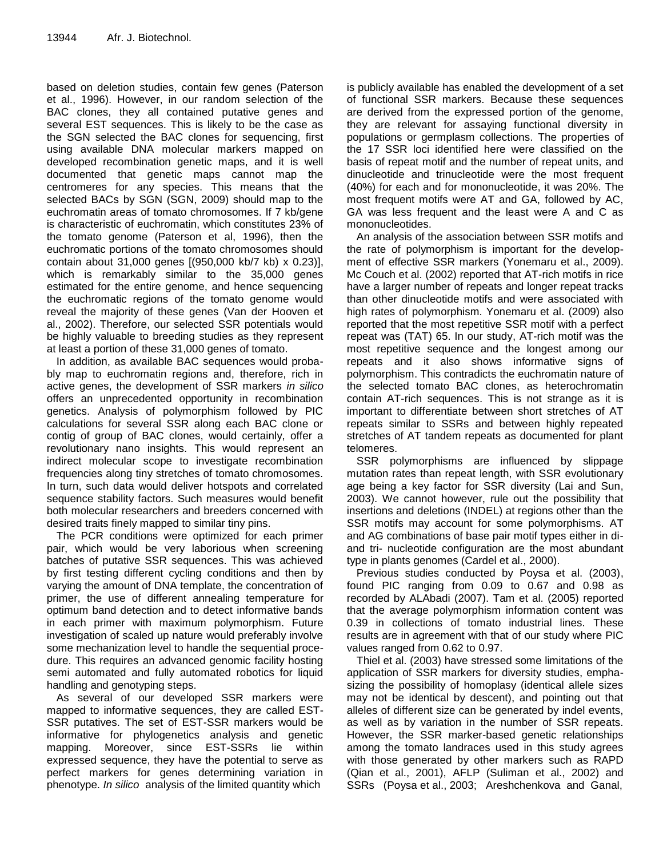based on deletion studies, contain few genes (Paterson et al., 1996). However, in our random selection of the BAC clones, they all contained putative genes and several EST sequences. This is likely to be the case as the SGN selected the BAC clones for sequencing, first using available DNA molecular markers mapped on developed recombination genetic maps, and it is well documented that genetic maps cannot map the centromeres for any species. This means that the selected BACs by SGN (SGN, 2009) should map to the euchromatin areas of tomato chromosomes. If 7 kb/gene is characteristic of euchromatin, which constitutes 23% of the tomato genome (Paterson et al, 1996), then the euchromatic portions of the tomato chromosomes should contain about 31,000 genes [(950,000 kb/7 kb) x 0.23)], which is remarkably similar to the 35,000 genes estimated for the entire genome, and hence sequencing the euchromatic regions of the tomato genome would reveal the majority of these genes (Van der Hooven et al., 2002). Therefore, our selected SSR potentials would be highly valuable to breeding studies as they represent at least a portion of these 31,000 genes of tomato.

In addition, as available BAC sequences would probably map to euchromatin regions and, therefore, rich in active genes, the development of SSR markers *in silico*  offers an unprecedented opportunity in recombination genetics. Analysis of polymorphism followed by PIC calculations for several SSR along each BAC clone or contig of group of BAC clones, would certainly, offer a revolutionary nano insights. This would represent an indirect molecular scope to investigate recombination frequencies along tiny stretches of tomato chromosomes. In turn, such data would deliver hotspots and correlated sequence stability factors. Such measures would benefit both molecular researchers and breeders concerned with desired traits finely mapped to similar tiny pins.

The PCR conditions were optimized for each primer pair, which would be very laborious when screening batches of putative SSR sequences. This was achieved by first testing different cycling conditions and then by varying the amount of DNA template, the concentration of primer, the use of different annealing temperature for optimum band detection and to detect informative bands in each primer with maximum polymorphism. Future investigation of scaled up nature would preferably involve some mechanization level to handle the sequential procedure. This requires an advanced genomic facility hosting semi automated and fully automated robotics for liquid handling and genotyping steps.

As several of our developed SSR markers were mapped to informative sequences, they are called EST-SSR putatives. The set of EST-SSR markers would be informative for phylogenetics analysis and genetic mapping. Moreover, since EST-SSRs lie within expressed sequence, they have the potential to serve as perfect markers for genes determining variation in phenotype. *In silico* analysis of the limited quantity which

is publicly available has enabled the development of a set of functional SSR markers. Because these sequences are derived from the expressed portion of the genome, they are relevant for assaying functional diversity in populations or germplasm collections. The properties of the 17 SSR loci identified here were classified on the basis of repeat motif and the number of repeat units, and dinucleotide and trinucleotide were the most frequent (40%) for each and for mononucleotide, it was 20%. The most frequent motifs were AT and GA, followed by AC, GA was less frequent and the least were A and C as mononucleotides.

An analysis of the association between SSR motifs and the rate of polymorphism is important for the development of effective SSR markers (Yonemaru et al., 2009). Mc Couch et al. (2002) reported that AT-rich motifs in rice have a larger number of repeats and longer repeat tracks than other dinucleotide motifs and were associated with high rates of polymorphism. Yonemaru et al. (2009) also reported that the most repetitive SSR motif with a perfect repeat was (TAT) 65. In our study, AT-rich motif was the most repetitive sequence and the longest among our repeats and it also shows informative signs of polymorphism. This contradicts the euchromatin nature of the selected tomato BAC clones, as heterochromatin contain AT-rich sequences. This is not strange as it is important to differentiate between short stretches of AT repeats similar to SSRs and between highly repeated stretches of AT tandem repeats as documented for plant telomeres.

SSR polymorphisms are influenced by slippage mutation rates than repeat length, with SSR evolutionary age being a key factor for SSR diversity (Lai and Sun, 2003). We cannot however, rule out the possibility that insertions and deletions (INDEL) at regions other than the SSR motifs may account for some polymorphisms. AT and AG combinations of base pair motif types either in diand tri- nucleotide configuration are the most abundant type in plants genomes (Cardel et al., 2000).

Previous studies conducted by Poysa et al. (2003), found PIC ranging from 0.09 to 0.67 and 0.98 as recorded by ALAbadi (2007). Tam et al. (2005) reported that the average polymorphism information content was 0.39 in collections of tomato industrial lines. These results are in agreement with that of our study where PIC values ranged from 0.62 to 0.97.

Thiel et al. (2003) have stressed some limitations of the application of SSR markers for diversity studies, emphasizing the possibility of homoplasy (identical allele sizes may not be identical by descent), and pointing out that alleles of different size can be generated by indel events, as well as by variation in the number of SSR repeats. However, the SSR marker-based genetic relationships among the tomato landraces used in this study agrees with those generated by other markers such as RAPD (Qian et al., 2001), AFLP (Suliman et al., 2002) and SSRs (Poysa et al., 2003; Areshchenkova and Ganal,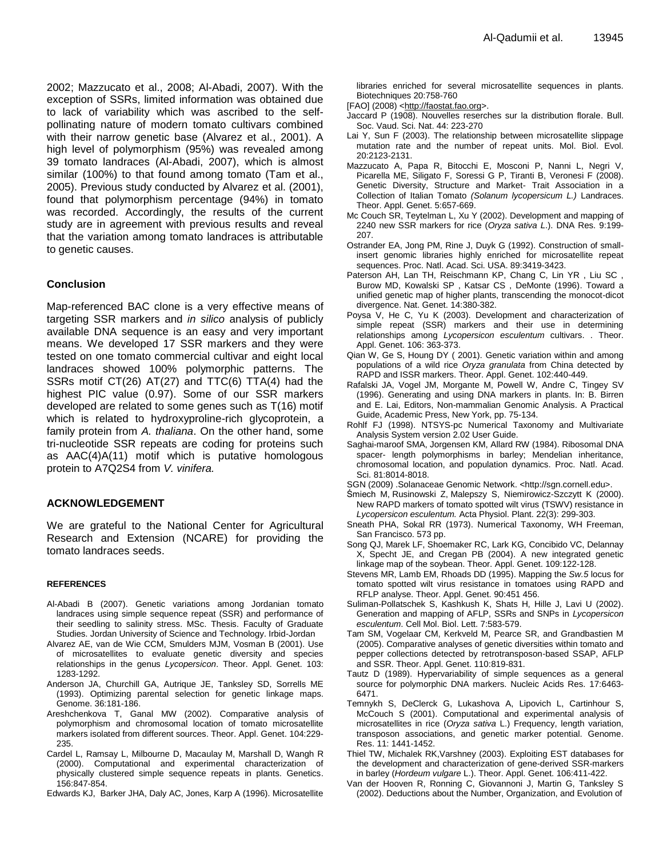2002; Mazzucato et al., 2008; Al-Abadi, 2007). With the exception of SSRs, limited information was obtained due to lack of variability which was ascribed to the selfpollinating nature of modern tomato cultivars combined with their narrow genetic base (Alvarez et al., 2001). A high level of polymorphism (95%) was revealed among 39 tomato landraces (Al-Abadi, 2007), which is almost similar (100%) to that found among tomato (Tam et al., 2005). Previous study conducted by Alvarez et al. (2001), found that polymorphism percentage (94%) in tomato was recorded. Accordingly, the results of the current study are in agreement with previous results and reveal that the variation among tomato landraces is attributable to genetic causes.

## **Conclusion**

Map-referenced BAC clone is a very effective means of targeting SSR markers and *in silico* analysis of publicly available DNA sequence is an easy and very important means. We developed 17 SSR markers and they were tested on one tomato commercial cultivar and eight local landraces showed 100% polymorphic patterns. The SSRs motif CT(26) AT(27) and TTC(6) TTA(4) had the highest PIC value (0.97). Some of our SSR markers developed are related to some genes such as T(16) motif which is related to hydroxyproline-rich glycoprotein, a family protein from *A. thaliana*. On the other hand, some tri-nucleotide SSR repeats are coding for proteins such as AAC(4)A(11) motif which is putative homologous protein to A7Q2S4 from *V. vinifera.*

## **ACKNOWLEDGEMENT**

We are grateful to the National Center for Agricultural Research and Extension (NCARE) for providing the tomato landraces seeds.

### **REFERENCES**

- Al-Abadi B (2007). Genetic variations among Jordanian tomato landraces using simple sequence repeat (SSR) and performance of their seedling to salinity stress. MSc. Thesis. Faculty of Graduate Studies. Jordan University of Science and Technology. Irbid-Jordan
- Alvarez AE, van de Wie CCM, Smulders MJM, Vosman B (2001). Use of microsatellites to evaluate genetic diversity and species relationships in the genus *Lycopersicon*. Theor. Appl. Genet. 103: 1283-1292.
- Anderson JA, Churchill GA, Autrique JE, Tanksley SD, Sorrells ME (1993). Optimizing parental selection for genetic linkage maps. Genome. 36:181-186.
- Areshchenkova T, Ganal MW (2002). Comparative analysis of polymorphism and chromosomal location of tomato microsatellite markers isolated from different sources. Theor. Appl. Genet. 104:229- 235.
- Cardel L, Ramsay L, Milbourne D, Macaulay M, Marshall D, Wangh R (2000). Computational and experimental characterization of physically clustered simple sequence repeats in plants. Genetics. 156:847-854.
- Edwards KJ, Barker JHA, Daly AC, Jones, Karp A (1996). Microsatellite

libraries enriched for several microsatellite sequences in plants. Biotechniques 20:758-760

- [FAO] (2008) [<http://faostat.fao.org>](http://faostat.fao.org/).
- Jaccard P (1908). Nouvelles reserches sur la distribution florale. Bull. Soc. Vaud. Sci. Nat. 44: 223-270
- Lai Y, Sun F (2003). The relationship between microsatellite slippage mutation rate and the number of repeat units. Mol. Biol. Evol. 20:2123-2131.
- Mazzucato A, Papa R, Bitocchi E, Mosconi P, Nanni L, Negri V, Picarella ME, Siligato F, Soressi G P, Tiranti B, Veronesi F (2008). Genetic Diversity, Structure and Market- Trait Association in a Collection of Italian Tomato *(Solanum lycopersicum L.)* Landraces. Theor. Appl. Genet. 5:657-669.
- Mc Couch SR, Teytelman L, Xu Y (2002). Development and mapping of 2240 new SSR markers for rice (*Oryza sativa L*.). DNA Res. 9:199- 207.
- Ostrander EA, Jong PM, Rine J, Duyk G (1992). Construction of smallinsert genomic libraries highly enriched for microsatellite repeat sequences. Proc. Natl. Acad. Sci. USA. 89:3419-3423.
- Paterson AH, Lan TH, Reischmann KP, Chang C, Lin YR , Liu SC , Burow MD, Kowalski SP , Katsar CS , DeMonte (1996). Toward a unified genetic map of higher plants, transcending the monocot-dicot divergence. Nat. Genet. 14:380-382.
- Poysa V, He C, Yu K (2003). Development and characterization of simple repeat (SSR) markers and their use in determining relationships among *Lycopersicon esculentum* cultivars. . Theor. Appl. Genet. 106: 363-373.
- Qian W, Ge S, Houng DY ( 2001). Genetic variation within and among populations of a wild rice *Oryza granulata* from China detected by RAPD and ISSR markers. Theor. Appl. Genet. 102:440-449.
- Rafalski JA, Vogel JM, Morgante M, Powell W, Andre C, Tingey SV (1996). Generating and using DNA markers in plants. In: B. Birren and E. Lai, Editors, Non-mammalian Genomic Analysis. A Practical Guide, Academic Press, New York, pp. 75-134.
- Rohlf FJ (1998). NTSYS-pc Numerical Taxonomy and Multivariate Analysis System version 2.02 User Guide.
- Saghai-maroof SMA, Jorgensen KM, Allard RW (1984). Ribosomal DNA spacer- length polymorphisms in barley; Mendelian inheritance, chromosomal location, and population dynamics. Proc. Natl. Acad. Sci. 81:8014-8018.
- SGN (2009) .Solanaceae Genomic Network. <http://sgn.cornell.edu>.
- Śmiech M, Rusinowski Z, Malepszy S, Niemirowicz-Szczytt K (2000). New RAPD markers of tomato spotted wilt virus (TSWV) resistance in *Lycopersicon esculentum.* [Acta Physiol. Plant.](http://www.ingentaconnect.com/content/klu/11738;jsessionid=11rhd6d1fjb9m.victoria) 22(3): 299-303.
- Sneath PHA, Sokal RR (1973). Numerical Taxonomy, WH Freeman, San Francisco. 573 pp.
- Song QJ, Marek LF, Shoemaker RC, Lark KG, Concibido VC, Delannay X, Specht JE, and Cregan PB (2004). A new integrated genetic linkage map of the soybean. Theor. Appl. Genet. 109:122-128.
- Stevens MR, Lamb EM, Rhoads DD (1995). Mapping the *Sw.5* locus for tomato spotted wilt virus resistance in tomatoes using RAPD and RFLP analyse. Theor. Appl. Genet. 90:451 456.
- Suliman-Pollatschek S, Kashkush K, Shats H, Hille J, Lavi U (2002). Generation and mapping of AFLP, SSRs and SNPs in *Lycopersicon esculentum*. Cell Mol. Biol. Lett. 7:583-579.
- Tam SM, Vogelaar CM, Kerkveld M, Pearce SR, and Grandbastien M (2005). Comparative analyses of genetic diversities within tomato and pepper collections detected by retrotransposon-based SSAP, AFLP and SSR. Theor. Appl. Genet. 110:819-831.
- Tautz D (1989). Hypervariability of simple sequences as a general source for polymorphic DNA markers. Nucleic Acids Res. 17:6463- 6471.
- Temnykh S, DeClerck G, Lukashova A, Lipovich L, Cartinhour S, McCouch S (2001). Computational and experimental analysis of microsatellites in rice (*Oryza sativa* L.) Frequency, length variation, transposon associations, and genetic marker potential. Genome. Res. 11: 1441-1452.
- Thiel TW, Michalek RK,Varshney (2003). Exploiting EST databases for the development and characterization of gene-derived SSR-markers in barley (*Hordeum vulgare* L.). Theor. Appl. Genet. 106:411-422.
- Van der Hooven R, Ronning C, Giovannoni J, Martin G, Tanksley S (2002). Deductions about the Number, Organization, and Evolution of